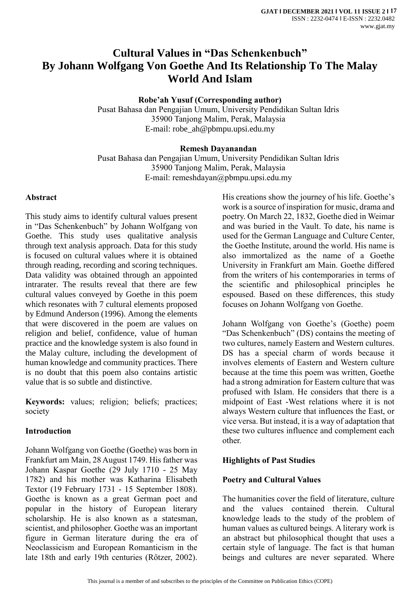# **Cultural Values in "Das Schenkenbuch" By Johann Wolfgang Von Goethe And Its Relationship To The Malay World And Islam**

**Robe'ah Yusuf (Corresponding author)**

Pusat Bahasa dan Pengajian Umum, University Pendidikan Sultan Idris 35900 Tanjong Malim, Perak, Malaysia E-mail: robe\_ah@pbmpu.upsi.edu.my

#### **Remesh Dayanandan**

Pusat Bahasa dan Pengajian Umum, University Pendidikan Sultan Idris 35900 Tanjong Malim, Perak, Malaysia E-mail: [remeshdayan@pbmpu.upsi.edu.my](mailto:remeshdayan@pbmpu.upsi.edu.my)

#### **Abstract**

This study aims to identify cultural values present in "Das Schenkenbuch" by Johann Wolfgang von Goethe. This study uses qualitative analysis through text analysis approach. Data for this study is focused on cultural values where it is obtained through reading, recording and scoring techniques. Data validity was obtained through an appointed intrarater. The results reveal that there are few cultural values conveyed by Goethe in this poem which resonates with 7 cultural elements proposed by Edmund Anderson (1996). Among the elements that were discovered in the poem are values on religion and belief, confidence, value of human practice and the knowledge system is also found in the Malay culture, including the development of human knowledge and community practices. There is no doubt that this poem also contains artistic value that is so subtle and distinctive.

**Keywords:** values; religion; beliefs; practices; society

#### **Introduction**

Johann Wolfgang von Goethe (Goethe) was born in Frankfurt am Main, 28 August 1749. His father was Johann Kaspar Goethe (29 July 1710 - 25 May 1782) and his mother was Katharina Elisabeth Textor (19 February 1731 - 15 September 1808). Goethe is known as a great German poet and popular in the history of European literary scholarship. He is also known as a statesman, scientist, and philosopher. Goethe was an important figure in German literature during the era of Neoclassicism and European Romanticism in the late 18th and early 19th centuries (Rőtzer, 2002).

His creations show the journey of his life. Goethe's work is a source of inspiration for music, drama and poetry. On March 22, 1832, Goethe died in Weimar and was buried in the Vault. To date, his name is used for the German Language and Culture Center, the Goethe Institute, around the world. His name is also immortalized as the name of a Goethe University in Frankfurt am Main. Goethe differed from the writers of his contemporaries in terms of the scientific and philosophical principles he espoused. Based on these differences, this study focuses on Johann Wolfgang von Goethe.

Johann Wolfgang von Goethe's (Goethe) poem "Das Schenkenbuch" (DS) contains the meeting of two cultures, namely Eastern and Western cultures. DS has a special charm of words because it involves elements of Eastern and Western culture because at the time this poem was written, Goethe had a strong admiration for Eastern culture that was profused with Islam. He considers that there is a midpoint of East -West relations where it is not always Western culture that influences the East, or vice versa. But instead, it is a way of adaptation that these two cultures influence and complement each other.

## **Highlights of Past Studies**

#### **Poetry and Cultural Values**

The humanities cover the field of literature, culture and the values contained therein. Cultural knowledge leads to the study of the problem of human values as cultured beings. A literary work is an abstract but philosophical thought that uses a certain style of language. The fact is that human beings and cultures are never separated. Where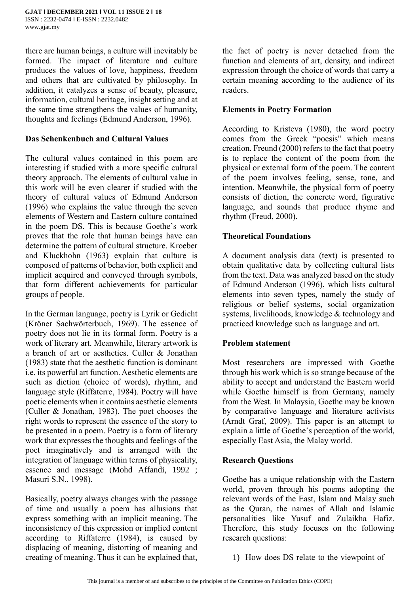there are human beings, a culture will inevitably be formed. The impact of literature and culture produces the values of love, happiness, freedom and others that are cultivated by philosophy. In addition, it catalyzes a sense of beauty, pleasure, information, cultural heritage, insight setting and at the same time strengthens the values of humanity, thoughts and feelings (Edmund Anderson, 1996).

#### **Das Schenkenbuch and Cultural Values**

The cultural values contained in this poem are interesting if studied with a more specific cultural theory approach. The elements of cultural value in this work will be even clearer if studied with the theory of cultural values of Edmund Anderson (1996) who explains the value through the seven elements of Western and Eastern culture contained in the poem DS. This is because Goethe's work proves that the role that human beings have can determine the pattern of cultural structure. Kroeber and Kluckhohn (1963) explain that culture is composed of patterns of behavior, both explicit and implicit acquired and conveyed through symbols, that form different achievements for particular groups of people.

In the German language, poetry is Lyrik or Gedicht (Kröner Sachwörterbuch, 1969). The essence of poetry does not lie in its formal form. Poetry is a work of literary art. Meanwhile, literary artwork is a branch of art or aesthetics. Culler & Jonathan (1983) state that the aesthetic function is dominant i.e. its powerful art function. Aesthetic elements are such as diction (choice of words), rhythm, and language style (Riffaterre, 1984). Poetry will have poetic elements when it contains aesthetic elements (Culler & Jonathan, 1983). The poet chooses the right words to represent the essence of the story to be presented in a poem. Poetry is a form of literary work that expresses the thoughts and feelings of the poet imaginatively and is arranged with the integration of language within terms of physicality, essence and message (Mohd Affandi, 1992 ; Masuri S.N., 1998).

Basically, poetry always changes with the passage of time and usually a poem has allusions that express something with an implicit meaning. The inconsistency of this expression or implied content according to Riffaterre (1984), is caused by displacing of meaning, distorting of meaning and creating of meaning. Thus it can be explained that,

the fact of poetry is never detached from the function and elements of art, density, and indirect expression through the choice of words that carry a certain meaning according to the audience of its readers.

## **Elements in Poetry Formation**

According to Kristeva (1980), the word poetry comes from the Greek "poesis" which means creation. Freund (2000) refers to the fact that poetry is to replace the content of the poem from the physical or external form of the poem. The content of the poem involves feeling, sense, tone, and intention. Meanwhile, the physical form of poetry consists of diction, the concrete word, figurative language, and sounds that produce rhyme and rhythm (Freud, 2000).

#### **Theoretical Foundations**

A document analysis data (text) is presented to obtain qualitative data by collecting cultural lists from the text. Data was analyzed based on the study of Edmund Anderson (1996), which lists cultural elements into seven types, namely the study of religious or belief systems, social organization systems, livelihoods, knowledge & technology and practiced knowledge such as language and art.

## **Problem statement**

Most researchers are impressed with Goethe through his work which is so strange because of the ability to accept and understand the Eastern world while Goethe himself is from Germany, namely from the West. In Malaysia, Goethe may be known by comparative language and literature activists (Arndt Graf, 2009). This paper is an attempt to explain a little of Goethe's perception of the world, especially East Asia, the Malay world.

#### **Research Questions**

Goethe has a unique relationship with the Eastern world, proven through his poems adopting the relevant words of the East, Islam and Malay such as the Quran, the names of Allah and Islamic personalities like Yusuf and Zulaikha Hafiz. Therefore, this study focuses on the following research questions:

1) How does DS relate to the viewpoint of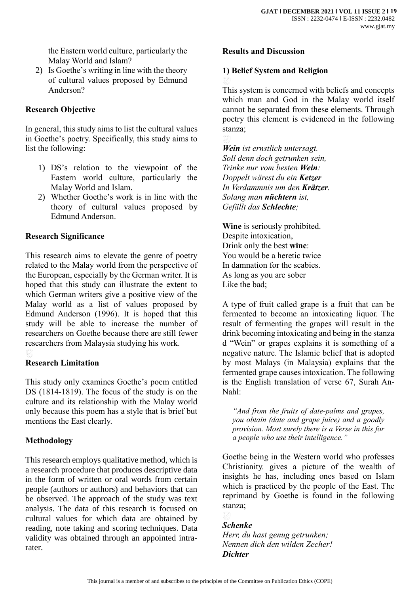the Eastern world culture, particularly the Malay World and Islam?

2) Is Goethe's writing in line with the theory of cultural values proposed by Edmund Anderson?

## **Research Objective**

In general, this study aims to list the cultural values in Goethe's poetry. Specifically, this study aims to list the following:

- 1) DS's relation to the viewpoint of the Eastern world culture, particularly the Malay World and Islam.
- 2) Whether Goethe's work is in line with the theory of cultural values proposed by Edmund Anderson.

#### **Research Significance**

This research aims to elevate the genre of poetry related to the Malay world from the perspective of the European, especially by the German writer. It is hoped that this study can illustrate the extent to which German writers give a positive view of the Malay world as a list of values proposed by Edmund Anderson (1996). It is hoped that this study will be able to increase the number of researchers on Goethe because there are still fewer researchers from Malaysia studying his work.

## **Research Limitation**

This study only examines Goethe's poem entitled DS (1814-1819). The focus of the study is on the culture and its relationship with the Malay world only because this poem has a style that is brief but mentions the East clearly.

#### **Methodology**

This research employs qualitative method, which is a research procedure that produces descriptive data in the form of written or oral words from certain people (authors or authors) and behaviors that can be observed. The approach of the study was text analysis. The data of this research is focused on cultural values for which data are obtained by reading, note taking and scoring techniques. Data validity was obtained through an appointed intrarater.

#### **Results and Discussion**

#### **1) Belief System and Religion**

This system is concerned with beliefs and concepts which man and God in the Malay world itself cannot be separated from these elements. Through poetry this element is evidenced in the following stanza;

*Wein ist ernstlich untersagt. Soll denn doch getrunken sein, Trinke nur vom besten Wein: Doppelt wärest du ein Ketzer In Verdammnis um den Krätzer. Solang man nüchtern ist, Gefällt das Schlechte;*

**Wine** is seriously prohibited. Despite intoxication, Drink only the best **wine**: You would be a heretic twice In damnation for the scabies. As long as you are sober Like the bad;

A type of fruit called grape is a fruit that can be fermented to become an intoxicating liquor. The result of fermenting the grapes will result in the drink becoming intoxicating and being in the stanza d "Wein" or grapes explains it is something of a negative nature. The Islamic belief that is adopted by most Malays (in Malaysia) explains that the fermented grape causes intoxication. The following is the English translation of verse 67, Surah An-Nahl:

*"And from the fruits of date-palms and grapes, you obtain (date and grape juice) and a goodly provision. Most surely there is a Verse in this for a people who use their intelligence."*

Goethe being in the Western world who professes Christianity. gives a picture of the wealth of insights he has, including ones based on Islam which is practiced by the people of the East. The reprimand by Goethe is found in the following stanza;

#### *Schenke*

*Herr, du hast genug getrunken; Nennen dich den wilden Zecher! Dichter*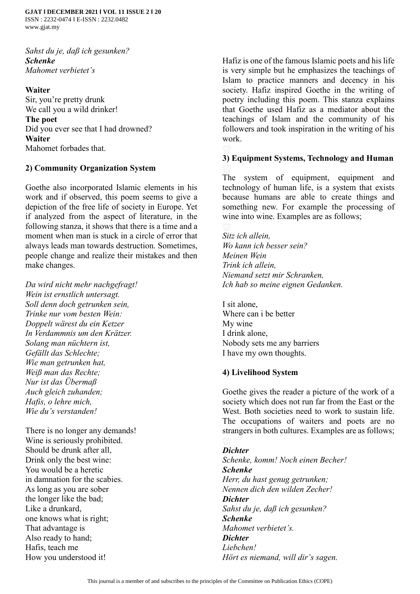*Sahst du je, daß ich gesunken? Schenke Mahomet verbietet's*

**Waiter** Sir, you're pretty drunk We call you a wild drinker! **The poet** Did you ever see that I had drowned? **Waiter**

Mahomet forbades that.

#### **2) Community Organization System**

Goethe also incorporated Islamic elements in his work and if observed, this poem seems to give a depiction of the free life of society in Europe. Yet if analyzed from the aspect of literature, in the following stanza, it shows that there is a time and a moment when man is stuck in a circle of error that always leads man towards destruction. Sometimes, people change and realize their mistakes and then make changes.

*Da wird nicht mehr nachgefragt! Wein ist ernstlich untersagt. Soll denn doch getrunken sein, Trinke nur vom besten Wein: Doppelt wärest du ein Ketzer In Verdammnis um den Krätzer. Solang man nüchtern ist, Gefällt das Schlechte; Wie man getrunken hat, Weiß man das Rechte; Nur ist das Übermaß Auch gleich zuhanden; Hafis, o lehre mich, Wie du's verstanden!*

There is no longer any demands! Wine is seriously prohibited. Should be drunk after all, Drink only the best wine: You would be a heretic in damnation for the scabies. As long as you are sober the longer like the bad; Like a drunkard, one knows what is right; That advantage is Also ready to hand; Hafis, teach me How you understood it!

Hafiz is one of the famous Islamic poets and his life is very simple but he emphasizes the teachings of Islam to practice manners and decency in his society. Hafiz inspired Goethe in the writing of poetry including this poem. This stanza explains that Goethe used Hafiz as a mediator about the teachings of Islam and the community of his followers and took inspiration in the writing of his work.

#### **3) Equipment Systems, Technology and Human**

The system of equipment, equipment and technology of human life, is a system that exists because humans are able to create things and something new. For example the processing of wine into wine. Examples are as follows;

*Sitz ich allein, Wo kann ich besser sein? Meinen Wein Trink ich allein, Niemand setzt mir Schranken, Ich hab so meine eignen Gedanken.*

I sit alone, Where can i be better My wine I drink alone, Nobody sets me any barriers I have my own thoughts.

#### **4) Livelihood System**

Goethe gives the reader a picture of the work of a society which does not run far from the East or the West. Both societies need to work to sustain life. The occupations of waiters and poets are no strangers in both cultures. Examples are as follows;

#### *Dichter*

*Schenke, komm! Noch einen Becher! Schenke Herr, du hast genug getrunken; Nennen dich den wilden Zecher! Dichter Sahst du je, daß ich gesunken? Schenke Mahomet verbietet's. Dichter Liebchen! Hört es niemand, will dir's sagen.*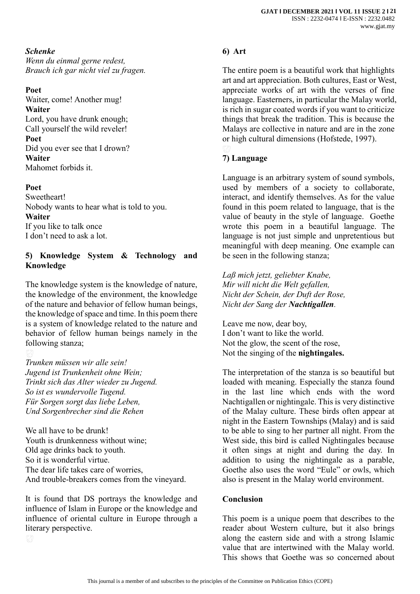## *Schenke*

*Wenn du einmal gerne redest, Brauch ich gar nicht viel zu fragen.*

#### **Poet**

Waiter, come! Another mug! **Waiter** Lord, you have drunk enough; Call yourself the wild reveler! **Poet** Did you ever see that I drown? **Waiter** Mahomet forbids it.

#### **Poet**

Sweetheart! Nobody wants to hear what is told to you. **Waiter** If you like to talk once I don't need to ask a lot.

## **5) Knowledge System & Technology and Knowledge**

The knowledge system is the knowledge of nature, the knowledge of the environment, the knowledge of the nature and behavior of fellow human beings, the knowledge of space and time. In this poem there is a system of knowledge related to the nature and behavior of fellow human beings namely in the following stanza;

*Trunken müssen wir alle sein! Jugend ist Trunkenheit ohne Wein; Trinkt sich das Alter wieder zu Jugend. So ist es wundervolle Tugend. Für Sorgen sorgt das liebe Leben, Und Sorgenbrecher sind die Rehen*

We all have to be drunk! Youth is drunkenness without wine; Old age drinks back to youth. So it is wonderful virtue. The dear life takes care of worries, And trouble-breakers comes from the vineyard.

It is found that DS portrays the knowledge and influence of Islam in Europe or the knowledge and influence of oriental culture in Europe through a literary perspective.

# **6) Art**

The entire poem is a beautiful work that highlights art and art appreciation. Both cultures, East or West, appreciate works of art with the verses of fine language. Easterners, in particular the Malay world, is rich in sugar coated words if you want to criticize things that break the tradition. This is because the Malays are collective in nature and are in the zone or high cultural dimensions (Hofstede, 1997).

# **7) Language**

Language is an arbitrary system of sound symbols, used by members of a society to collaborate, interact, and identify themselves. As for the value found in this poem related to language, that is the value of beauty in the style of language. Goethe wrote this poem in a beautiful language. The language is not just simple and unpretentious but meaningful with deep meaning. One example can be seen in the following stanza;

*Laß mich jetzt, geliebter Knabe, Mir will nicht die Welt gefallen, Nicht der Schein, der Duft der Rose, Nicht der Sang der Nachtigallen.*

Leave me now, dear boy, I don't want to like the world. Not the glow, the scent of the rose, Not the singing of the **nightingales.**

The interpretation of the stanza is so beautiful but loaded with meaning. Especially the stanza found in the last line which ends with the word Nachtigallen or nightingale. This is very distinctive of the Malay culture. These birds often appear at night in the Eastern Townships (Malay) and is said to be able to sing to her partner all night. From the West side, this bird is called Nightingales because it often sings at night and during the day. In addition to using the nightingale as a parable, Goethe also uses the word "Eule" or owls, which also is present in the Malay world environment.

## **Conclusion**

This poem is a unique poem that describes to the reader about Western culture, but it also brings along the eastern side and with a strong Islamic value that are intertwined with the Malay world. This shows that Goethe was so concerned about